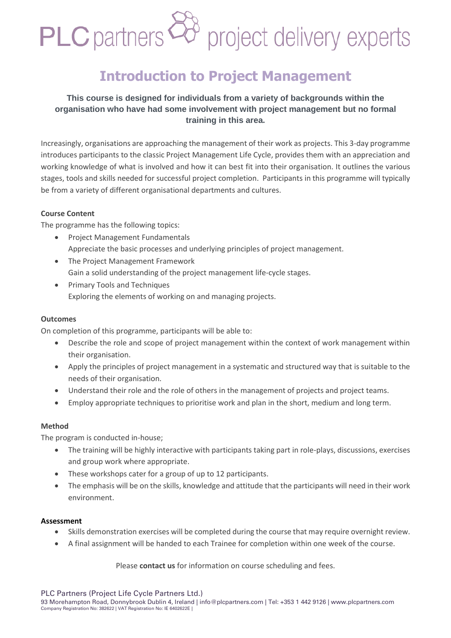# PLC partners<sup>28</sup> project delivery experts

# **Introduction to Project Management**

### **This course is designed for individuals from a variety of backgrounds within the organisation who have had some involvement with project management but no formal training in this area.**

Increasingly, organisations are approaching the management of their work as projects. This 3-day programme introduces participants to the classic Project Management Life Cycle, provides them with an appreciation and working knowledge of what is involved and how it can best fit into their organisation. It outlines the various stages, tools and skills needed for successful project completion. Participants in this programme will typically be from a variety of different organisational departments and cultures.

#### **Course Content**

The programme has the following topics:

- Project Management Fundamentals Appreciate the basic processes and underlying principles of project management.
- The Project Management Framework Gain a solid understanding of the project management life-cycle stages.
- Primary Tools and Techniques Exploring the elements of working on and managing projects.

#### **Outcomes**

On completion of this programme, participants will be able to:

- Describe the role and scope of project management within the context of work management within their organisation.
- Apply the principles of project management in a systematic and structured way that is suitable to the needs of their organisation.
- Understand their role and the role of others in the management of projects and project teams.
- Employ appropriate techniques to prioritise work and plan in the short, medium and long term.

#### **Method**

The program is conducted in-house;

- The training will be highly interactive with participants taking part in role-plays, discussions, exercises and group work where appropriate.
- These workshops cater for a group of up to 12 participants.
- The emphasis will be on the skills, knowledge and attitude that the participants will need in their work environment.

#### **Assessment**

- Skills demonstration exercises will be completed during the course that may require overnight review.
- A final assignment will be handed to each Trainee for completion within one week of the course.

Please **contact us** for information on course scheduling and fees.

PLC Partners (Project Life Cycle Partners Ltd.)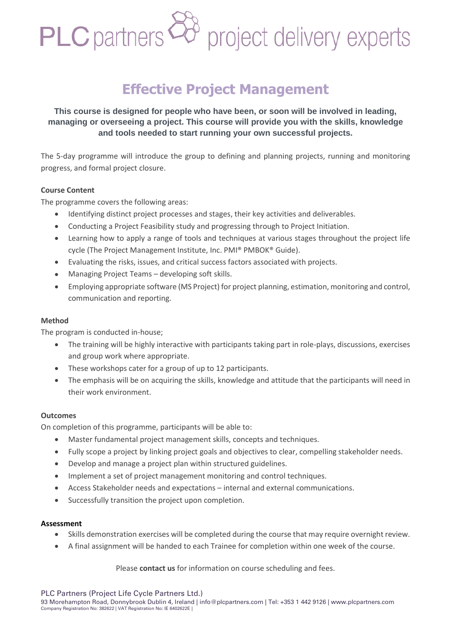# PLC partners<sup>28</sup> project delivery experts

# **Effective Project Management**

### **This course is designed for people who have been, or soon will be involved in leading, managing or overseeing a project. This course will provide you with the skills, knowledge and tools needed to start running your own successful projects.**

The 5-day programme will introduce the group to defining and planning projects, running and monitoring progress, and formal project closure.

#### **Course Content**

The programme covers the following areas:

- Identifying distinct project processes and stages, their key activities and deliverables.
- Conducting a Project Feasibility study and progressing through to Project Initiation.
- Learning how to apply a range of tools and techniques at various stages throughout the project life cycle (The Project Management Institute, Inc. PMI® PMBOK® Guide).
- Evaluating the risks, issues, and critical success factors associated with projects.
- Managing Project Teams developing soft skills.
- Employing appropriate software (MS Project) for project planning, estimation, monitoring and control, communication and reporting.

#### **Method**

The program is conducted in-house;

- The training will be highly interactive with participants taking part in role-plays, discussions, exercises and group work where appropriate.
- These workshops cater for a group of up to 12 participants.
- The emphasis will be on acquiring the skills, knowledge and attitude that the participants will need in their work environment.

#### **Outcomes**

On completion of this programme, participants will be able to:

- Master fundamental project management skills, concepts and techniques.
- Fully scope a project by linking project goals and objectives to clear, compelling stakeholder needs.
- Develop and manage a project plan within structured guidelines.
- Implement a set of project management monitoring and control techniques.
- Access Stakeholder needs and expectations internal and external communications.
- Successfully transition the project upon completion.

#### **Assessment**

- Skills demonstration exercises will be completed during the course that may require overnight review.
- A final assignment will be handed to each Trainee for completion within one week of the course.

Please **contact us** for information on course scheduling and fees.

PLC Partners (Project Life Cycle Partners Ltd.)